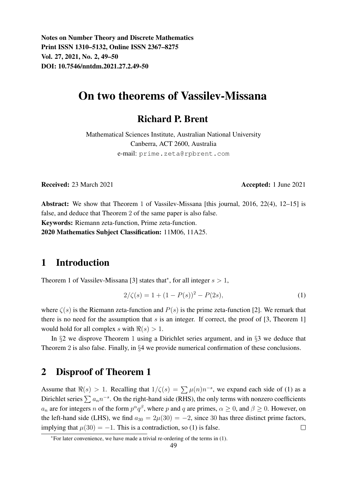Notes on Number Theory and Discrete Mathematics Print ISSN 1310–5132, Online ISSN 2367–8275 Vol. 27, 2021, No. 2, 49–50 DOI: 10.7546/nntdm.2021.27.2.49-50

# On two theorems of Vassilev-Missana

### Richard P. Brent

Mathematical Sciences Institute, Australian National University Canberra, ACT 2600, Australia e-mail: prime.zeta@rpbrent.com

Received: 23 March 2021 **Accepted: 1 June 2021** 

Abstract: We show that Theorem 1 of Vassilev-Missana [this journal, 2016, 22(4), 12–15] is false, and deduce that Theorem 2 of the same paper is also false. Keywords: Riemann zeta-function, Prime zeta-function. 2020 Mathematics Subject Classification: 11M06, 11A25.

#### 1 Introduction

Theorem 1 of Vassilev-Missana [3] states that\*, for all integer  $s > 1$ ,

$$
2/\zeta(s) = 1 + (1 - P(s))^2 - P(2s),\tag{1}
$$

where  $\zeta(s)$  is the Riemann zeta-function and  $P(s)$  is the prime zeta-function [2]. We remark that there is no need for the assumption that  $s$  is an integer. If correct, the proof of [3, Theorem 1] would hold for all complex s with  $\Re(s) > 1$ .

In §2 we disprove Theorem 1 using a Dirichlet series argument, and in §3 we deduce that Theorem 2 is also false. Finally, in §4 we provide numerical confirmation of these conclusions.

### 2 Disproof of Theorem 1

Assume that  $\Re(s) > 1$ . Recalling that  $1/\zeta(s) = \sum \mu(n)n^{-s}$ , we expand each side of (1) as a Dirichlet series  $\sum a_n n^{-s}$ . On the right-hand side (RHS), the only terms with nonzero coefficients  $a_n$  are for integers n of the form  $p^{\alpha}q^{\beta}$ , where p and q are primes,  $\alpha \ge 0$ , and  $\beta \ge 0$ . However, on the left-hand side (LHS), we find  $a_{30} = 2\mu(30) = -2$ , since 30 has three distinct prime factors, implying that  $\mu(30) = -1$ . This is a contradiction, so (1) is false.  $\Box$ 

<sup>∗</sup>For later convenience, we have made a trivial re-ordering of the terms in (1).